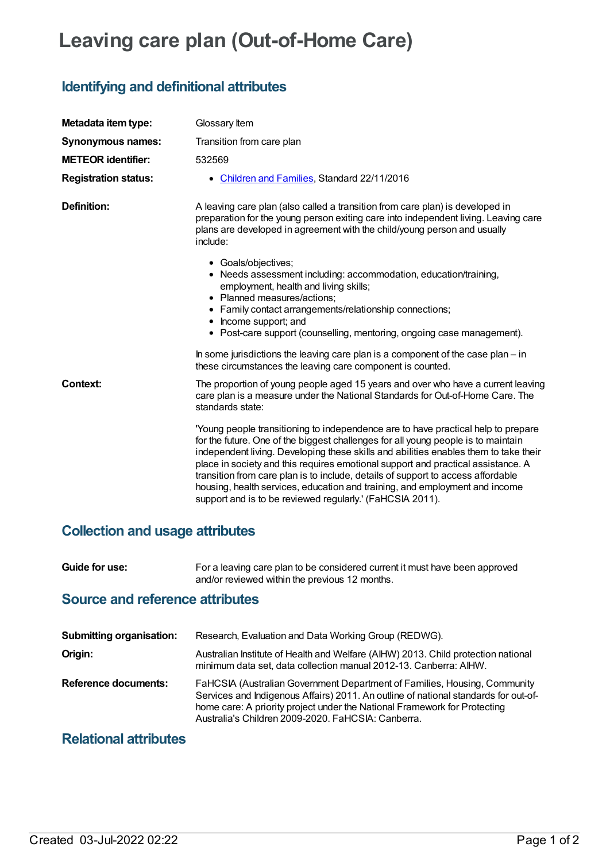# **Leaving care plan (Out-of-Home Care)**

# **Identifying and definitional attributes**

| Metadata item type:         | Glossary Item                                                                                                                                                                                                                                                                                                                                                                                                                                                                                                                                                                      |
|-----------------------------|------------------------------------------------------------------------------------------------------------------------------------------------------------------------------------------------------------------------------------------------------------------------------------------------------------------------------------------------------------------------------------------------------------------------------------------------------------------------------------------------------------------------------------------------------------------------------------|
| <b>Synonymous names:</b>    | Transition from care plan                                                                                                                                                                                                                                                                                                                                                                                                                                                                                                                                                          |
| <b>METEOR identifier:</b>   | 532569                                                                                                                                                                                                                                                                                                                                                                                                                                                                                                                                                                             |
| <b>Registration status:</b> | • Children and Families, Standard 22/11/2016                                                                                                                                                                                                                                                                                                                                                                                                                                                                                                                                       |
| Definition:                 | A leaving care plan (also called a transition from care plan) is developed in<br>preparation for the young person exiting care into independent living. Leaving care<br>plans are developed in agreement with the child/young person and usually<br>include:                                                                                                                                                                                                                                                                                                                       |
|                             | • Goals/objectives;<br>• Needs assessment including: accommodation, education/training,<br>employment, health and living skills;<br>• Planned measures/actions;<br>• Family contact arrangements/relationship connections;<br>• Income support; and<br>• Post-care support (counselling, mentoring, ongoing case management).                                                                                                                                                                                                                                                      |
|                             | In some jurisdictions the leaving care plan is a component of the case plan - in<br>these circumstances the leaving care component is counted.                                                                                                                                                                                                                                                                                                                                                                                                                                     |
| Context:                    | The proportion of young people aged 15 years and over who have a current leaving<br>care plan is a measure under the National Standards for Out-of-Home Care. The<br>standards state:                                                                                                                                                                                                                                                                                                                                                                                              |
|                             | 'Young people transitioning to independence are to have practical help to prepare<br>for the future. One of the biggest challenges for all young people is to maintain<br>independent living. Developing these skills and abilities enables them to take their<br>place in society and this requires emotional support and practical assistance. A<br>transition from care plan is to include, details of support to access affordable<br>housing, health services, education and training, and employment and income<br>support and is to be reviewed regularly.' (FaHCSIA 2011). |

## **Collection and usage attributes**

| Guide for use: | For a leaving care plan to be considered current it must have been approved |
|----------------|-----------------------------------------------------------------------------|
|                | and/or reviewed within the previous 12 months.                              |

### **Source and reference attributes**

| <b>Submitting organisation:</b> | Research, Evaluation and Data Working Group (REDWG).                                                                                                                                                                                                                                                |
|---------------------------------|-----------------------------------------------------------------------------------------------------------------------------------------------------------------------------------------------------------------------------------------------------------------------------------------------------|
| Origin:                         | Australian Institute of Health and Welfare (AIHW) 2013. Child protection national<br>minimum data set, data collection manual 2012-13. Canberra: AIHW.                                                                                                                                              |
| <b>Reference documents:</b>     | FaHCSIA (Australian Government Department of Families, Housing, Community<br>Services and Indigenous Affairs) 2011. An outline of national standards for out-of-<br>home care: A priority project under the National Framework for Protecting<br>Australia's Children 2009-2020. FaHCSIA: Canberra. |

## **Relational attributes**